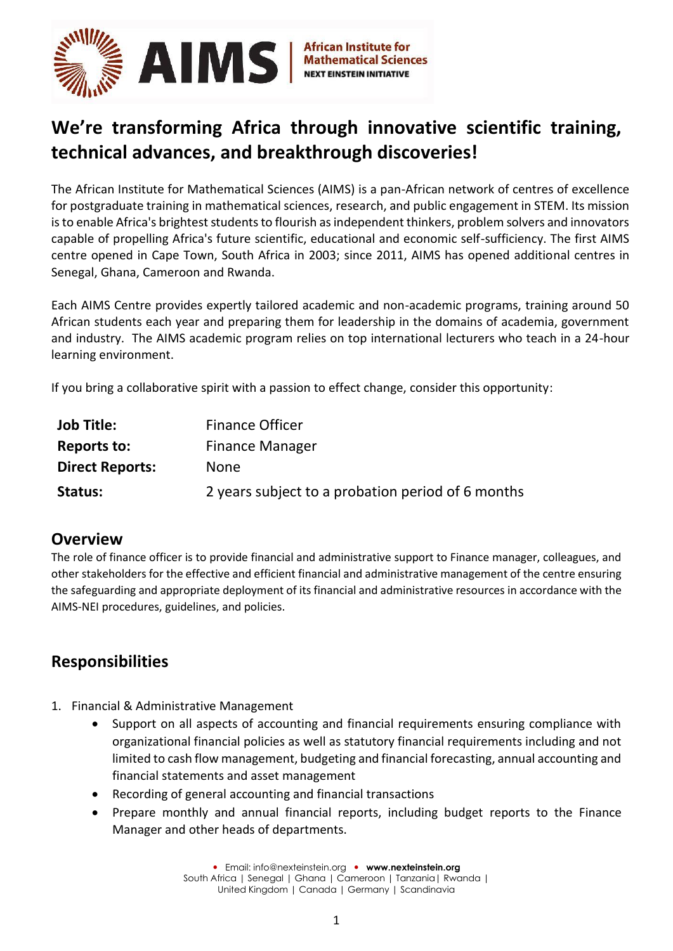

# **We're transforming Africa through innovative scientific training, technical advances, and breakthrough discoveries!**

The African Institute for Mathematical Sciences (AIMS) is a pan-African network of centres of excellence for postgraduate training in mathematical sciences, research, and public engagement in STEM. Its mission is to enable Africa's brightest students to flourish as independent thinkers, problem solvers and innovators capable of propelling Africa's future scientific, educational and economic self-sufficiency. The first AIMS centre opened in Cape Town, South Africa in 2003; since 2011, AIMS has opened additional centres in Senegal, Ghana, Cameroon and Rwanda.

Each AIMS Centre provides expertly tailored academic and non-academic programs, training around 50 African students each year and preparing them for leadership in the domains of academia, government and industry. The AIMS academic program relies on top international lecturers who teach in a 24-hour learning environment.

If you bring a collaborative spirit with a passion to effect change, consider this opportunity:

| <b>Job Title:</b>      | <b>Finance Officer</b>                            |
|------------------------|---------------------------------------------------|
| Reports to:            | <b>Finance Manager</b>                            |
| <b>Direct Reports:</b> | <b>None</b>                                       |
| Status:                | 2 years subject to a probation period of 6 months |

#### **Overview**

The role of finance officer is to provide financial and administrative support to Finance manager, colleagues, and other stakeholders for the effective and efficient financial and administrative management of the centre ensuring the safeguarding and appropriate deployment of its financial and administrative resources in accordance with the AIMS-NEI procedures, guidelines, and policies.

## **Responsibilities**

- 1. Financial & Administrative Management
	- Support on all aspects of accounting and financial requirements ensuring compliance with organizational financial policies as well as statutory financial requirements including and not limited to cash flow management, budgeting and financial forecasting, annual accounting and financial statements and asset management
	- Recording of general accounting and financial transactions
	- Prepare monthly and annual financial reports, including budget reports to the Finance Manager and other heads of departments.

 Email: [info@nexteinstein.org](mailto:info@nexteinstein.org)  **[www.nexteinstein.org](http://www.nexteinstein.org/)** South Africa | Senegal | Ghana | Cameroon | Tanzania | Rwanda | United Kingdom | Canada | Germany | Scandinavia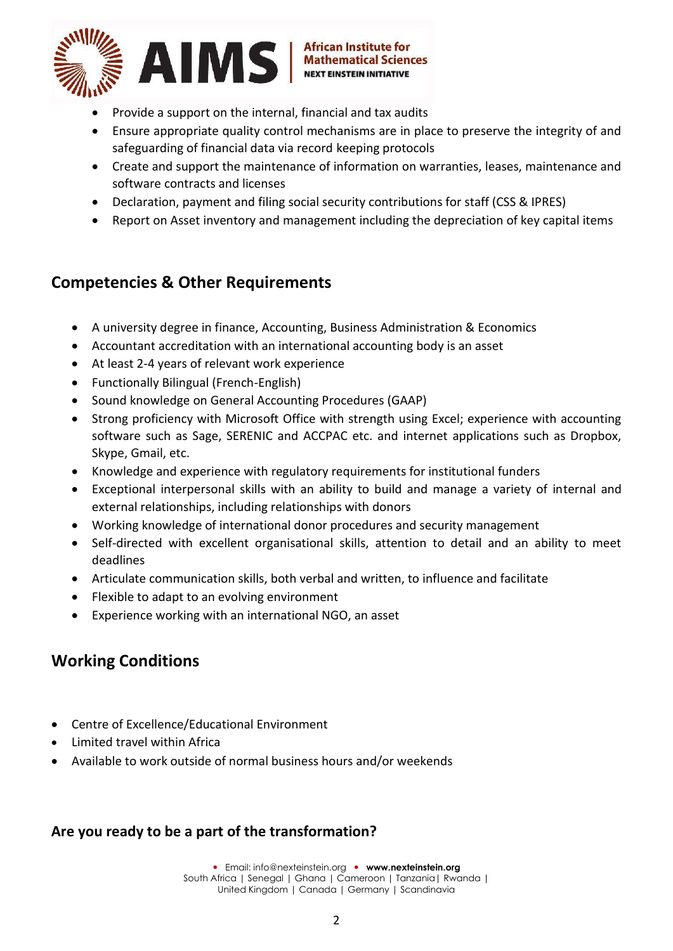

- Provide a support on the internal, financial and tax audits
- Ensure appropriate quality control mechanisms are in place to preserve the integrity of and safeguarding of financial data via record keeping protocols
- Create and support the maintenance of information on warranties, leases, maintenance and software contracts and licenses
- Declaration, payment and filing social security contributions for staff (CSS & IPRES)
- Report on Asset inventory and management including the depreciation of key capital items

#### **Competencies & Other Requirements**

- A university degree in finance, Accounting, Business Administration & Economics
- Accountant accreditation with an international accounting body is an asset
- At least 2-4 years of relevant work experience
- Functionally Bilingual (French-English)
- Sound knowledge on General Accounting Procedures (GAAP)
- Strong proficiency with Microsoft Office with strength using Excel; experience with accounting software such as Sage, SERENIC and ACCPAC etc. and internet applications such as Dropbox, Skype, Gmail, etc.
- Knowledge and experience with regulatory requirements for institutional funders
- Exceptional interpersonal skills with an ability to build and manage a variety of internal and external relationships, including relationships with donors
- Working knowledge of international donor procedures and security management
- Self-directed with excellent organisational skills, attention to detail and an ability to meet deadlines
- Articulate communication skills, both verbal and written, to influence and facilitate
- Flexible to adapt to an evolving environment
- Experience working with an international NGO, an asset

### **Working Conditions**

- Centre of Excellence/Educational Environment
- Limited travel within Africa
- Available to work outside of normal business hours and/or weekends

#### **Are you ready to be a part of the transformation?**

 Email: [info@nexteinstein.org](mailto:info@nexteinstein.org)  **[www.nexteinstein.org](http://www.nexteinstein.org/)** South Africa | Senegal | Ghana | Cameroon | Tanzania | Rwanda | United Kingdom | Canada | Germany | Scandinavia